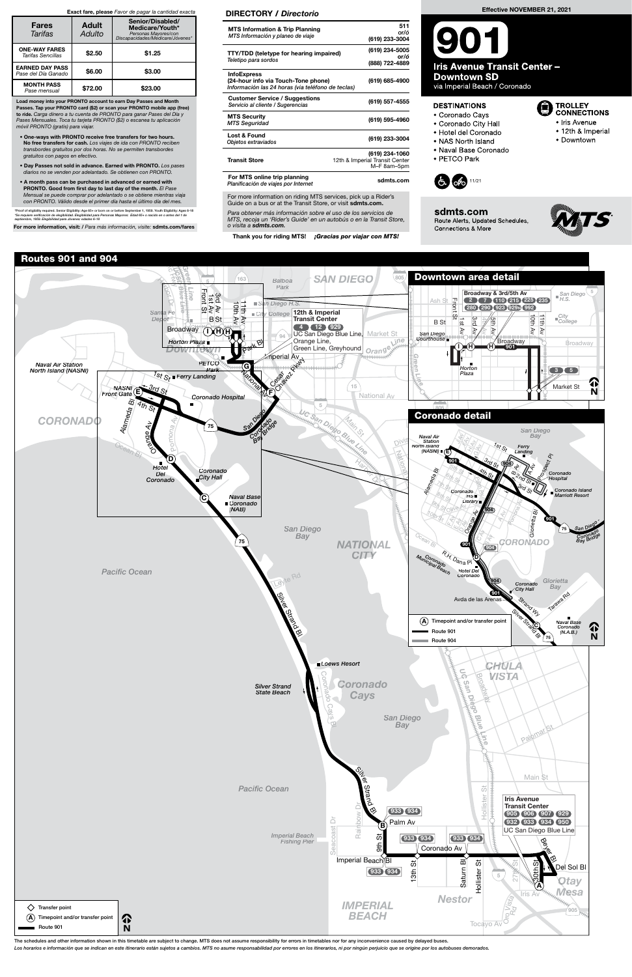For more information on riding MTS services, pick up a Rider's Guide on a bus or at the Transit Store, or visit sdmts.com.

The schedules and other information shown in this timetable are subject to change. MTS does not assume responsibility for errors in timetables nor for any inconvenience caused by delayed buses.

Los horarios e información que se indican en este itinerario están sujetos a cambios. MTS no asume responsabilidad por errores en los itinerarios, ni por ningún perjuicio que se origine por los autobuses demorados.



Para obtener más información sobre el uso de los servicios de MTS, recoja un 'Rider's Guide' en un autobús o en la Transit Store, o visita a sdmts.com.

Thank you for riding MTS! ¡Gracias por viajar con MTS!

### DIRECTORY / Directorio

|                                                                                                                | 511                                           |
|----------------------------------------------------------------------------------------------------------------|-----------------------------------------------|
| <b>MTS Information &amp; Trip Planning</b>                                                                     | or/ó                                          |
| MTS Información y planeo de viaje                                                                              | (619) 233-3004                                |
| <b>TTY/TDD</b> (teletype for hearing impaired)                                                                 | (619) 234-5005                                |
|                                                                                                                | or/ó                                          |
| Teletipo para sordos                                                                                           | (888) 722-4889                                |
| <b>InfoExpress</b><br>(24-hour info via Touch-Tone phone)<br>Información las 24 horas (via teléfono de teclas) | (619) 685-4900                                |
| <b>Customer Service / Suggestions</b><br>Servicio al cliente / Sugerencias                                     | (619) 557-4555                                |
| <b>MTS Security</b><br><b>MTS Seguridad</b>                                                                    | (619) 595-4960                                |
| Lost & Found<br>Objetos extraviados                                                                            | (619) 233-3004                                |
|                                                                                                                | (619) 234-1060                                |
| <b>Transit Store</b>                                                                                           | 12th & Imperial Transit Center<br>M-F 8am-5pm |
| For MTS online trip planning<br>Planificación de viajes por Internet                                           | sdmts.com                                     |

Load money into your PRONTO account to earn Day Passes and Month Passes. Tap your PRONTO card (\$2) or scan your PRONTO mobile app (free) to ride. Carga dinero a tu cuenta de PRONTO para ganar Pases del Día y Pases Mensuales. Toca tu tarjeta PRONTO (\$2) o escanea tu aplicación móvil PRONTO (gratis) para viajar.

- One-ways with PRONTO receive free transfers for two hours. No free transfers for cash. Los viajes de ida con PRONTO reciben transbordes gratuitos por dos horas. No se permiten transbordes gratuitos con pagos en efectivo.
- Day Passes not sold in advance. Earned with PRONTO. Los pases diarios no se venden por adelantado. Se obtienen con PRONTO.
- A month pass can be purchased in advanced or earned with PRONTO. Good from first day to last day of the month. El Pase Mensual se puede comprar por adelantado o se obtiene mientras viaja con PRONTO. Válido desde el primer día hasta el último día del mes.

\*Proof of eligibility required. Senior Eligibility: Age 65+ or born on or before September 1, 1959. Youth Eligibility: Ages 6-18<br>\*Se requiere verificación de elegibilidad. Elegibilidad para Personas Mayores: Edad 65+ o nac

For more information, visit: / Para más información, visite: sdmts.com/fares

### Exact fare, please Favor de pagar la cantidad exacta

| <b>Fares</b><br>Tarifas                       | <b>Adult</b><br>Adulto | Senior/Disabled/<br>Medicare/Youth*<br>Personas Mayores/con<br>Discapacidades/Medicare/Jóvenes* |
|-----------------------------------------------|------------------------|-------------------------------------------------------------------------------------------------|
| <b>ONE-WAY FARES</b><br>Tarifas Sencillas     | \$2.50                 | \$1.25                                                                                          |
| <b>EARNED DAY PASS</b><br>Pase del Día Ganado | \$6.00                 | \$3.00                                                                                          |
| <b>MONTH PASS</b><br>Pase mensual             | \$72.00                | \$23.00                                                                                         |

#### Effective NOVEMBER 21, 2021

**Iris Avenue Transit Center -Downtown SD** 

via Imperial Beach / Coronado

## **DESTINATIONS**

- · Coronado Cays
- Coronado City Hall
- · Hotel del Coronado
- NAS North Island
- · Naval Base Coronado
- · PETCO Park



sdmts.com Route Alerts, Updated Schedules, Connections & More



**D** TROLLEY<br>CONNECTIONS

• Iris Avenue

· Downtown

• 12th & Imperial